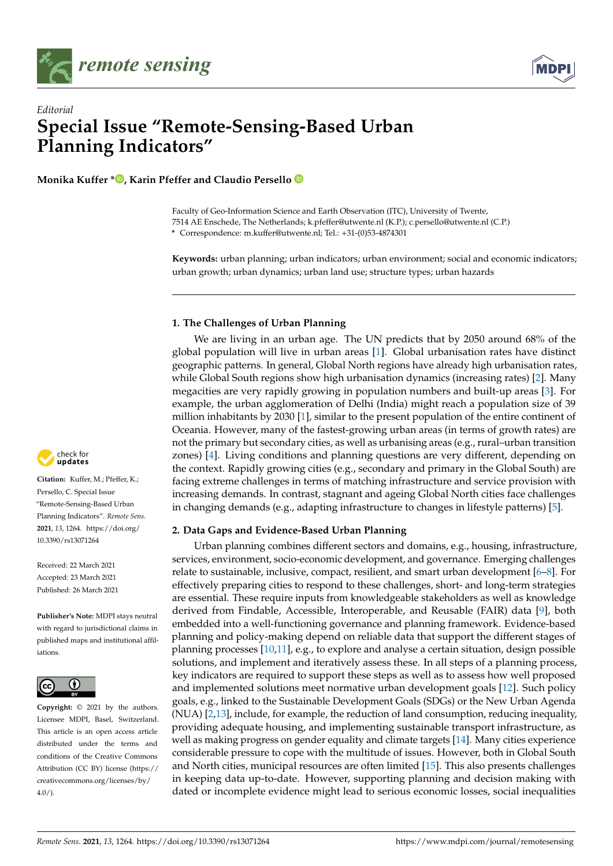



# *Editorial* **Special Issue "Remote-Sensing-Based Urban Planning Indicators"**

**Monika Kuffer \*<sup>1</sup>[,](https://orcid.org/0000-0002-1915-2069) Karin Pfeffer and Claudio Persello**<sup>1</sup>

Faculty of Geo-Information Science and Earth Observation (ITC), University of Twente, 7514 AE Enschede, The Netherlands; k.pfeffer@utwente.nl (K.P.); c.persello@utwente.nl (C.P.) **\*** Correspondence: m.kuffer@utwente.nl; Tel.: +31-(0)53-4874301

**Keywords:** urban planning; urban indicators; urban environment; social and economic indicators; urban growth; urban dynamics; urban land use; structure types; urban hazards

### **1. The Challenges of Urban Planning**

We are living in an urban age. The UN predicts that by 2050 around 68% of the global population will live in urban areas [\[1\]](#page-4-0). Global urbanisation rates have distinct geographic patterns. In general, Global North regions have already high urbanisation rates, while Global South regions show high urbanisation dynamics (increasing rates) [\[2\]](#page-4-1). Many megacities are very rapidly growing in population numbers and built-up areas [\[3\]](#page-4-2). For example, the urban agglomeration of Delhi (India) might reach a population size of 39 million inhabitants by 2030 [\[1\]](#page-4-0), similar to the present population of the entire continent of Oceania. However, many of the fastest-growing urban areas (in terms of growth rates) are not the primary but secondary cities, as well as urbanising areas (e.g., rural–urban transition zones) [\[4\]](#page-4-3). Living conditions and planning questions are very different, depending on the context. Rapidly growing cities (e.g., secondary and primary in the Global South) are facing extreme challenges in terms of matching infrastructure and service provision with increasing demands. In contrast, stagnant and ageing Global North cities face challenges in changing demands (e.g., adapting infrastructure to changes in lifestyle patterns) [\[5\]](#page-4-4).

#### **2. Data Gaps and Evidence-Based Urban Planning**

Urban planning combines different sectors and domains, e.g., housing, infrastructure, services, environment, socio-economic development, and governance. Emerging challenges relate to sustainable, inclusive, compact, resilient, and smart urban development [\[6](#page-4-5)[–8\]](#page-4-6). For effectively preparing cities to respond to these challenges, short- and long-term strategies are essential. These require inputs from knowledgeable stakeholders as well as knowledge derived from Findable, Accessible, Interoperable, and Reusable (FAIR) data [\[9\]](#page-4-7), both embedded into a well-functioning governance and planning framework. Evidence-based planning and policy-making depend on reliable data that support the different stages of planning processes [\[10](#page-4-8)[,11\]](#page-4-9), e.g., to explore and analyse a certain situation, design possible solutions, and implement and iteratively assess these. In all steps of a planning process, key indicators are required to support these steps as well as to assess how well proposed and implemented solutions meet normative urban development goals [\[12\]](#page-4-10). Such policy goals, e.g., linked to the Sustainable Development Goals (SDGs) or the New Urban Agenda (NUA) [\[2,](#page-4-1)[13\]](#page-4-11), include, for example, the reduction of land consumption, reducing inequality, providing adequate housing, and implementing sustainable transport infrastructure, as well as making progress on gender equality and climate targets [\[14\]](#page-4-12). Many cities experience considerable pressure to cope with the multitude of issues. However, both in Global South and North cities, municipal resources are often limited [\[15\]](#page-4-13). This also presents challenges in keeping data up-to-date. However, supporting planning and decision making with dated or incomplete evidence might lead to serious economic losses, social inequalities



**Citation:** Kuffer, M.; Pfeffer, K.; Persello, C. Special Issue "Remote-Sensing-Based Urban Planning Indicators". *Remote Sens.* **2021**, *13*, 1264. [https://doi.org/](https://doi.org/10.3390/rs13071264) [10.3390/rs13071264](https://doi.org/10.3390/rs13071264)

Received: 22 March 2021 Accepted: 23 March 2021 Published: 26 March 2021

**Publisher's Note:** MDPI stays neutral with regard to jurisdictional claims in published maps and institutional affiliations.



**Copyright:** © 2021 by the authors. Licensee MDPI, Basel, Switzerland. This article is an open access article distributed under the terms and conditions of the Creative Commons Attribution (CC BY) license (https:/[/](https://creativecommons.org/licenses/by/4.0/) [creativecommons.org/licenses/by/](https://creativecommons.org/licenses/by/4.0/)  $4.0/$ ).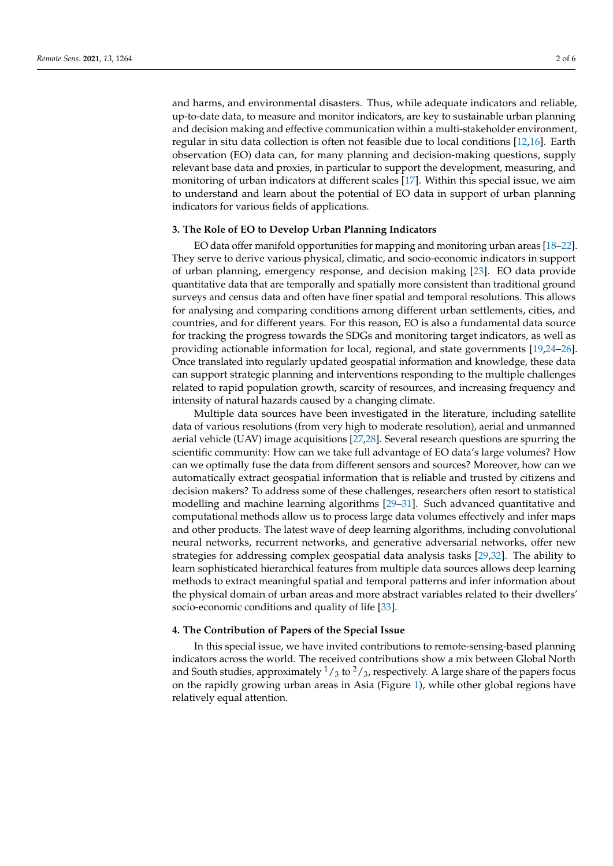and harms, and environmental disasters. Thus, while adequate indicators and reliable, up-to-date data, to measure and monitor indicators, are key to sustainable urban planning and decision making and effective communication within a multi-stakeholder environment, regular in situ data collection is often not feasible due to local conditions [\[12,](#page-4-10)[16\]](#page-4-14). Earth observation (EO) data can, for many planning and decision-making questions, supply relevant base data and proxies, in particular to support the development, measuring, and monitoring of urban indicators at different scales [\[17\]](#page-4-15). Within this special issue, we aim to understand and learn about the potential of EO data in support of urban planning indicators for various fields of applications.

#### **3. The Role of EO to Develop Urban Planning Indicators**

EO data offer manifold opportunities for mapping and monitoring urban areas [\[18](#page-4-16)[–22\]](#page-4-17). They serve to derive various physical, climatic, and socio-economic indicators in support of urban planning, emergency response, and decision making [\[23\]](#page-4-18). EO data provide quantitative data that are temporally and spatially more consistent than traditional ground surveys and census data and often have finer spatial and temporal resolutions. This allows for analysing and comparing conditions among different urban settlements, cities, and countries, and for different years. For this reason, EO is also a fundamental data source for tracking the progress towards the SDGs and monitoring target indicators, as well as providing actionable information for local, regional, and state governments [\[19,](#page-4-19)[24](#page-4-20)[–26\]](#page-5-0). Once translated into regularly updated geospatial information and knowledge, these data can support strategic planning and interventions responding to the multiple challenges related to rapid population growth, scarcity of resources, and increasing frequency and intensity of natural hazards caused by a changing climate.

Multiple data sources have been investigated in the literature, including satellite data of various resolutions (from very high to moderate resolution), aerial and unmanned aerial vehicle (UAV) image acquisitions [\[27](#page-5-1)[,28\]](#page-5-2). Several research questions are spurring the scientific community: How can we take full advantage of EO data's large volumes? How can we optimally fuse the data from different sensors and sources? Moreover, how can we automatically extract geospatial information that is reliable and trusted by citizens and decision makers? To address some of these challenges, researchers often resort to statistical modelling and machine learning algorithms [\[29](#page-5-3)[–31\]](#page-5-4). Such advanced quantitative and computational methods allow us to process large data volumes effectively and infer maps and other products. The latest wave of deep learning algorithms, including convolutional neural networks, recurrent networks, and generative adversarial networks, offer new strategies for addressing complex geospatial data analysis tasks [\[29](#page-5-3)[,32\]](#page-5-5). The ability to learn sophisticated hierarchical features from multiple data sources allows deep learning methods to extract meaningful spatial and temporal patterns and infer information about the physical domain of urban areas and more abstract variables related to their dwellers' socio-economic conditions and quality of life [\[33\]](#page-5-6).

#### **4. The Contribution of Papers of the Special Issue**

In this special issue, we have invited contributions to remote-sensing-based planning indicators across the world. The received contributions show a mix between Global North and South studies, approximately  $\frac{1}{3}$  to  $\frac{2}{3}$ , respectively. A large share of the papers focus on the rapidly growing urban areas in Asia (Figure [1\)](#page-2-0), while other global regions have relatively equal attention.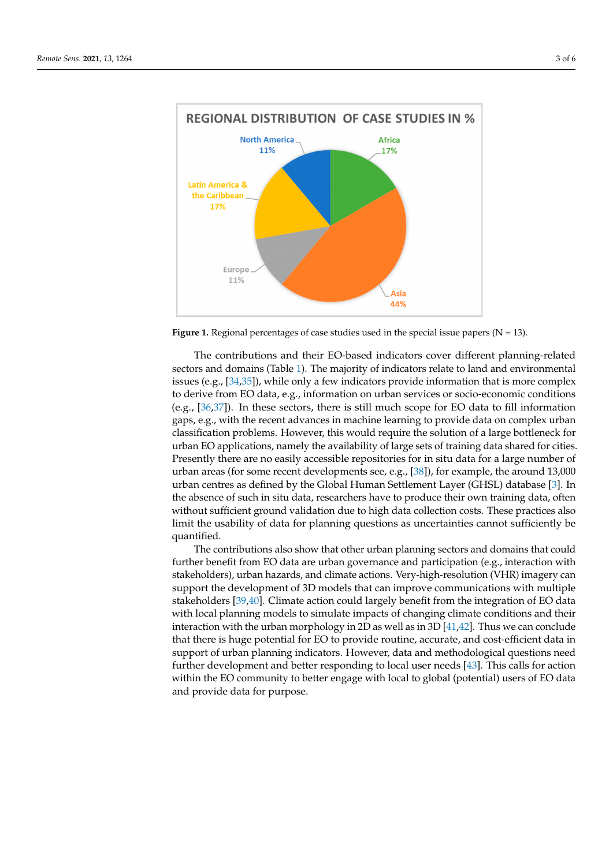<span id="page-2-0"></span>

**Figure 1.** Regional percentages of case studies used in the special issue papers (N = 13). **Figure 1.** Regional percentages of case studies used in the special issue papers (N = 13).

The contributions and their EO-based indicators cover different planning-related sectors and domains (Table [1\).](#page-3-0) The majority of indicators relate to land and environmental issues (e.g., [\[3](#page-5-7)[4,35](#page-5-8)]), while only a few indicators provide information that is more complex issues (e.g., [34,35]), while only a few indicators provide information that is more complex to derive from EO data, e.g., information on urban services or socio-economic conditions to derive from EO data, e.g., information on urban services or socio-economic conditions (e.g.,  $[36,37]$  $[36,37]$ ). In these sectors, there is still much scope for EO data to fill information gaps, e.g., with the recent advances in machine learning to provide data on complex urban sification problems. However, this would require the solution of a large bottleneck for classification problems. However, this would require the solution of a large bottleneck for urban EO applications, namely the availability of large sets of training data shared for urban EO applications, namely the availability of large sets of training data shared for cities. Presently there are no easily accessible repositories for in situ data for a large number of urban areas (for some recent developments see, e.g., [\[38\]](#page-5-11)), for example, the around 13,000 13,000 urban centres as defined by the Global Human Settlement Layer (GHSL) database urban centres as defined by the Global Human Settlement Layer (GHSL) database [\[3\]](#page-4-2). In the absence of such in situ data, researchers have to produce their own training data, often without sufficient ground validation due to high data collection costs. These practices also limit the usability of data for planning questions as uncertainties cannot sufficiently be quantified.

The contributions also show that other urban planning sectors and domains that The contributions also show that other urban planning sectors and domains that could further benefit from EO data are urban governance and participation (e.g., interaction with  $\frac{1}{2}$ stakeholders), urban hazards, and climate actions. Very-high-resolution (VHR) imagery can support the development of 3D models that can improve communications with multiple  $\sim$ stakeholders [\[39,](#page-5-12)[40\]](#page-5-13). Climate action could largely benefit from the integration of EO data<br>in the integration of the integration of the integration of the integration of the integration of the integrat with local planning models to simulate impacts of changing climate conditions and their<br>with local planning models to simulate impacts of changing climate conditions and their interaction with the urban morphology in 2D as well as in 3D [\[41](#page-5-14)[,42\]](#page-5-15). Thus we can conclude that there is huge potential for EO to provide routine, accurate, and cost-efficient data in<br>there is huge potential for EO to provide routine, accurate, and cost-efficient data in support of urban planning indicators. However, data and methodological questions need<br>Support of urban planning indicators. However, data and methodological questions need logical questions need further development and better responding to local user  $\mathbf{H}(\mathbf{Q})$ . The case of  $\mathbf{FQ}$  determined to local user needs  $\mathbf{FQ}$  determined to local user  $\mathbf{FQ}$  determined to the set of  $\math$ within the EO community to better engage with local to global (potential) users of EO data<br>and nuscride data for nurrosse and provide data for purpose. further development and better responding to local user needs [\[43\]](#page-5-16). This calls for action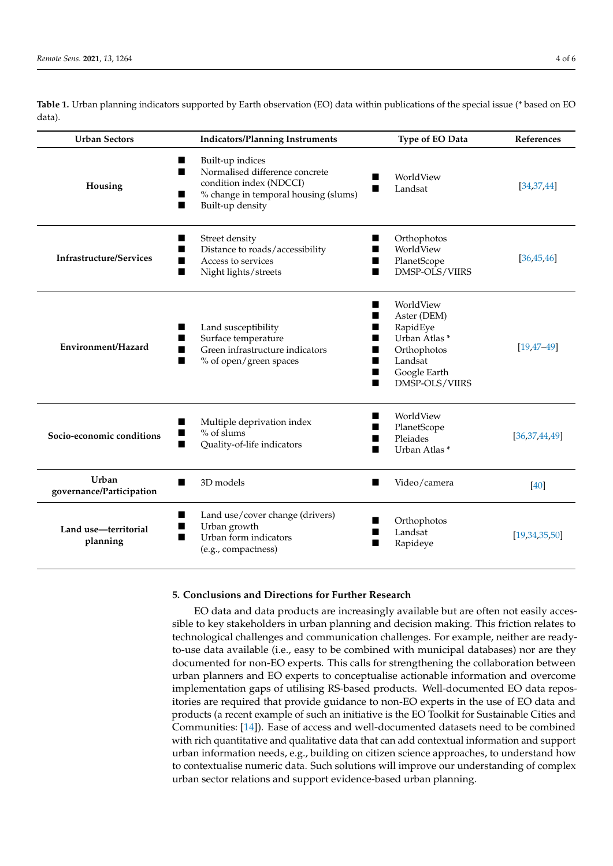**Urban Sectors Indicators/Planning Instruments Type of EO Data References Housing Built-up indices Normalised difference concrete** condition index (NDCCI) % change in temporal housing (slums) **Built-up density**  WorldView  $L = \frac{34,37,44}{5}$  $L = \frac{34,37,44}{5}$  $L = \frac{34,37,44}{5}$ **Infrastructure/Services Street density** ■ Distance to roads/accessibility<br>■ Access to services Access to services Night lights/streets **C** Orthophotos ■ WorldView<br>■ PlanetScope PlanetScope DMSP-OLS/VIIRS [\[36](#page-5-9)[,45](#page-5-18)[,46\]](#page-5-19) **Environment/Hazard Land susceptibility** Surface temperature Green infrastructure indicators % of open/green spaces ■ WorldView ■ Aster (DEM) ■ RapidEye Urban Atlas \* Orthophotos Landsat Google Earth DMSP-OLS/VIIRS [\[19,](#page-4-19)[47–](#page-5-20)[49\]](#page-5-21) **Socio-economic conditions Multiple deprivation index**  $\blacksquare$  % of slums ■ **Quality-of-life indicators**  WorldView PlanetScope Pleiades Urban Atlas \* [\[36,](#page-5-9)[37,](#page-5-10)[44,](#page-5-17)[49\]](#page-5-21) **Urban governance/Participation** ■ 3D models and a video/camera and a camera and a camera and a camera and a camera and a camera and a camera and a camera and a camera and a camera and a camera and a camera and a camera and a camera and a camera and a ca **Land use—territorial planning** ■ Land use/cover change (drivers) Urban growth Urban form indicators (e.g., compactness) Orthophotos Landsat Rapideye [\[19,](#page-4-19)[34,](#page-5-7)[35,](#page-5-8)[50\]](#page-5-22)

<span id="page-3-0"></span>**Table 1.** Urban planning indicators supported by Earth observation (EO) data within publications of the special issue (\* based on EO data).

## **5. Conclusions and Directions for Further Research**

EO data and data products are increasingly available but are often not easily accessible to key stakeholders in urban planning and decision making. This friction relates to technological challenges and communication challenges. For example, neither are readyto-use data available (i.e., easy to be combined with municipal databases) nor are they documented for non-EO experts. This calls for strengthening the collaboration between urban planners and EO experts to conceptualise actionable information and overcome implementation gaps of utilising RS-based products. Well-documented EO data repositories are required that provide guidance to non-EO experts in the use of EO data and products (a recent example of such an initiative is the EO Toolkit for Sustainable Cities and Communities: [\[14\]](#page-4-12)). Ease of access and well-documented datasets need to be combined with rich quantitative and qualitative data that can add contextual information and support urban information needs, e.g., building on citizen science approaches, to understand how to contextualise numeric data. Such solutions will improve our understanding of complex urban sector relations and support evidence-based urban planning.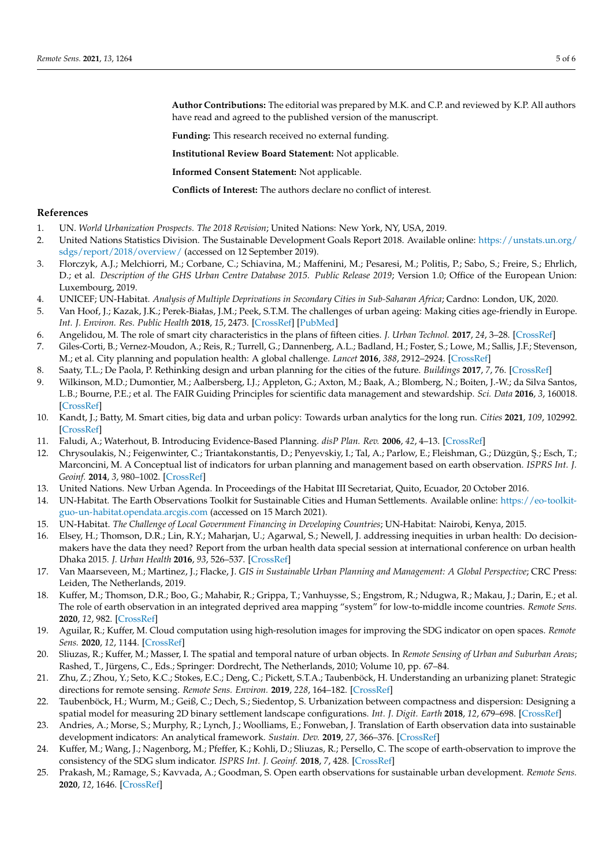**Author Contributions:** The editorial was prepared by M.K. and C.P. and reviewed by K.P. All authors have read and agreed to the published version of the manuscript.

**Funding:** This research received no external funding.

**Institutional Review Board Statement:** Not applicable.

**Informed Consent Statement:** Not applicable.

**Conflicts of Interest:** The authors declare no conflict of interest.

#### **References**

- <span id="page-4-0"></span>1. UN. *World Urbanization Prospects. The 2018 Revision*; United Nations: New York, NY, USA, 2019.
- <span id="page-4-1"></span>2. United Nations Statistics Division. The Sustainable Development Goals Report 2018. Available online: [https://unstats.un.org/](https://unstats.un.org/sdgs/report/2018/overview/) [sdgs/report/2018/overview/](https://unstats.un.org/sdgs/report/2018/overview/) (accessed on 12 September 2019).
- <span id="page-4-2"></span>3. Florczyk, A.J.; Melchiorri, M.; Corbane, C.; Schiavina, M.; Maffenini, M.; Pesaresi, M.; Politis, P.; Sabo, S.; Freire, S.; Ehrlich, D.; et al. *Description of the GHS Urban Centre Database 2015. Public Release 2019*; Version 1.0; Office of the European Union: Luxembourg, 2019.
- <span id="page-4-3"></span>4. UNICEF; UN-Habitat. *Analysis of Multiple Deprivations in Secondary Cities in Sub-Saharan Africa*; Cardno: London, UK, 2020.
- <span id="page-4-4"></span>5. Van Hoof, J.; Kazak, J.K.; Perek-Białas, J.M.; Peek, S.T.M. The challenges of urban ageing: Making cities age-friendly in Europe. *Int. J. Environ. Res. Public Health* **2018**, *15*, 2473. [\[CrossRef\]](http://doi.org/10.3390/ijerph15112473) [\[PubMed\]](http://www.ncbi.nlm.nih.gov/pubmed/30714577)
- <span id="page-4-5"></span>6. Angelidou, M. The role of smart city characteristics in the plans of fifteen cities. *J. Urban Technol.* **2017**, *24*, 3–28. [\[CrossRef\]](http://doi.org/10.1080/10630732.2017.1348880)
- 7. Giles-Corti, B.; Vernez-Moudon, A.; Reis, R.; Turrell, G.; Dannenberg, A.L.; Badland, H.; Foster, S.; Lowe, M.; Sallis, J.F.; Stevenson, M.; et al. City planning and population health: A global challenge. *Lancet* **2016**, *388*, 2912–2924. [\[CrossRef\]](http://doi.org/10.1016/S0140-6736(16)30066-6)
- <span id="page-4-6"></span>8. Saaty, T.L.; De Paola, P. Rethinking design and urban planning for the cities of the future. *Buildings* **2017**, *7*, 76. [\[CrossRef\]](http://doi.org/10.3390/buildings7030076)
- <span id="page-4-7"></span>9. Wilkinson, M.D.; Dumontier, M.; Aalbersberg, I.J.; Appleton, G.; Axton, M.; Baak, A.; Blomberg, N.; Boiten, J.-W.; da Silva Santos, L.B.; Bourne, P.E.; et al. The FAIR Guiding Principles for scientific data management and stewardship. *Sci. Data* **2016**, *3*, 160018. [\[CrossRef\]](http://doi.org/10.1038/sdata.2016.18)
- <span id="page-4-8"></span>10. Kandt, J.; Batty, M. Smart cities, big data and urban policy: Towards urban analytics for the long run. *Cities* **2021**, *109*, 102992. [\[CrossRef\]](http://doi.org/10.1016/j.cities.2020.102992)
- <span id="page-4-9"></span>11. Faludi, A.; Waterhout, B. Introducing Evidence-Based Planning. *disP Plan. Rev.* **2006**, *42*, 4–13. [\[CrossRef\]](http://doi.org/10.1080/02513625.2006.10556950)
- <span id="page-4-10"></span>12. Chrysoulakis, N.; Feigenwinter, C.; Triantakonstantis, D.; Penyevskiy, I.; Tal, A.; Parlow, E.; Fleishman, G.; Düzgün, Ş.; Esch, T.; Marconcini, M. A Conceptual list of indicators for urban planning and management based on earth observation. *ISPRS Int. J. Geoinf.* **2014**, *3*, 980–1002. [\[CrossRef\]](http://doi.org/10.3390/ijgi3030980)
- <span id="page-4-11"></span>13. United Nations. New Urban Agenda. In Proceedings of the Habitat III Secretariat, Quito, Ecuador, 20 October 2016.
- <span id="page-4-12"></span>14. UN-Habitat. The Earth Observations Toolkit for Sustainable Cities and Human Settlements. Available online: [https://eo-toolkit](https://eo-toolkit-guo-un-habitat.opendata.arcgis.com)[guo-un-habitat.opendata.arcgis.com](https://eo-toolkit-guo-un-habitat.opendata.arcgis.com) (accessed on 15 March 2021).
- <span id="page-4-13"></span>15. UN-Habitat. *The Challenge of Local Government Financing in Developing Countries*; UN-Habitat: Nairobi, Kenya, 2015.
- <span id="page-4-14"></span>16. Elsey, H.; Thomson, D.R.; Lin, R.Y.; Maharjan, U.; Agarwal, S.; Newell, J. addressing inequities in urban health: Do decisionmakers have the data they need? Report from the urban health data special session at international conference on urban health Dhaka 2015. *J. Urban Health* **2016**, *93*, 526–537. [\[CrossRef\]](http://doi.org/10.1007/s11524-016-0046-9)
- <span id="page-4-15"></span>17. Van Maarseveen, M.; Martinez, J.; Flacke, J. *GIS in Sustainable Urban Planning and Management: A Global Perspective*; CRC Press: Leiden, The Netherlands, 2019.
- <span id="page-4-16"></span>18. Kuffer, M.; Thomson, D.R.; Boo, G.; Mahabir, R.; Grippa, T.; Vanhuysse, S.; Engstrom, R.; Ndugwa, R.; Makau, J.; Darin, E.; et al. The role of earth observation in an integrated deprived area mapping "system" for low-to-middle income countries. *Remote Sens.* **2020**, *12*, 982. [\[CrossRef\]](http://doi.org/10.3390/rs12060982)
- <span id="page-4-19"></span>19. Aguilar, R.; Kuffer, M. Cloud computation using high-resolution images for improving the SDG indicator on open spaces. *Remote Sens.* **2020**, *12*, 1144. [\[CrossRef\]](http://doi.org/10.3390/rs12071144)
- 20. Sliuzas, R.; Kuffer, M.; Masser, I. The spatial and temporal nature of urban objects. In *Remote Sensing of Urban and Suburban Areas*; Rashed, T., Jürgens, C., Eds.; Springer: Dordrecht, The Netherlands, 2010; Volume 10, pp. 67–84.
- 21. Zhu, Z.; Zhou, Y.; Seto, K.C.; Stokes, E.C.; Deng, C.; Pickett, S.T.A.; Taubenböck, H. Understanding an urbanizing planet: Strategic directions for remote sensing. *Remote Sens. Environ.* **2019**, *228*, 164–182. [\[CrossRef\]](http://doi.org/10.1016/j.rse.2019.04.020)
- <span id="page-4-17"></span>22. Taubenböck, H.; Wurm, M.; Geiß, C.; Dech, S.; Siedentop, S. Urbanization between compactness and dispersion: Designing a spatial model for measuring 2D binary settlement landscape configurations. *Int. J. Digit. Earth* **2018**, *12*, 679–698. [\[CrossRef\]](http://doi.org/10.1080/17538947.2018.1474957)
- <span id="page-4-18"></span>23. Andries, A.; Morse, S.; Murphy, R.; Lynch, J.; Woolliams, E.; Fonweban, J. Translation of Earth observation data into sustainable development indicators: An analytical framework. *Sustain. Dev.* **2019**, *27*, 366–376. [\[CrossRef\]](http://doi.org/10.1002/sd.1908)
- <span id="page-4-20"></span>24. Kuffer, M.; Wang, J.; Nagenborg, M.; Pfeffer, K.; Kohli, D.; Sliuzas, R.; Persello, C. The scope of earth-observation to improve the consistency of the SDG slum indicator. *ISPRS Int. J. Geoinf.* **2018**, *7*, 428. [\[CrossRef\]](http://doi.org/10.3390/ijgi7110428)
- 25. Prakash, M.; Ramage, S.; Kavvada, A.; Goodman, S. Open earth observations for sustainable urban development. *Remote Sens.* **2020**, *12*, 1646. [\[CrossRef\]](http://doi.org/10.3390/rs12101646)